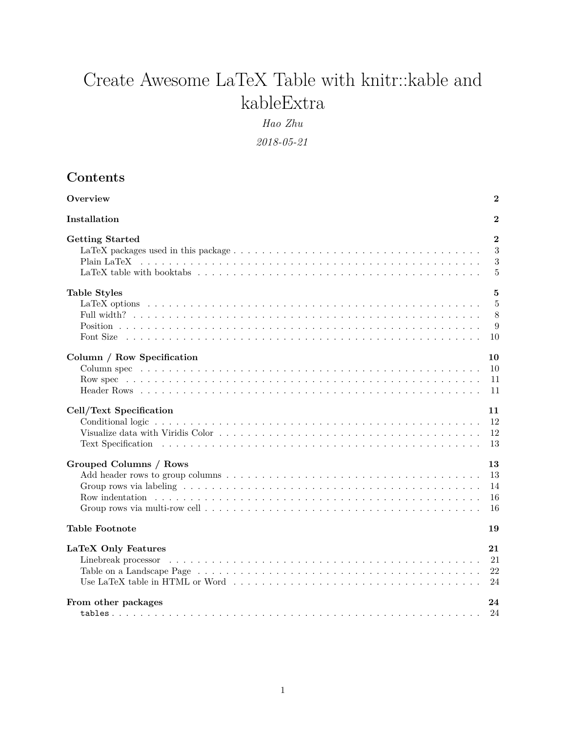# Create Awesome LaTeX Table with knitr::kable and kableExtra

*Hao Zhu*

*2018-05-21*

| Contents |
|----------|
|----------|

| Overview                   | $\bf{2}$       |
|----------------------------|----------------|
| Installation               | $\bf{2}$       |
| <b>Getting Started</b>     | $\overline{2}$ |
|                            | 3              |
|                            | 3              |
|                            | 5              |
| <b>Table Styles</b>        | 5              |
|                            | 5              |
|                            | 8              |
|                            | 9              |
|                            | 10             |
| Column / Row Specification | 10             |
|                            | 10             |
|                            | 11             |
|                            | 11             |
| Cell/Text Specification    | 11             |
|                            | 12             |
|                            | 12             |
|                            | 13             |
| Grouped Columns / Rows     | 13             |
|                            | 13             |
|                            | 14             |
|                            | 16             |
|                            | 16             |
| <b>Table Footnote</b>      | 19             |
| LaTeX Only Features        | 21             |
|                            | 21             |
|                            | 22             |
|                            | 24             |
| From other packages        | 24             |
|                            | 24             |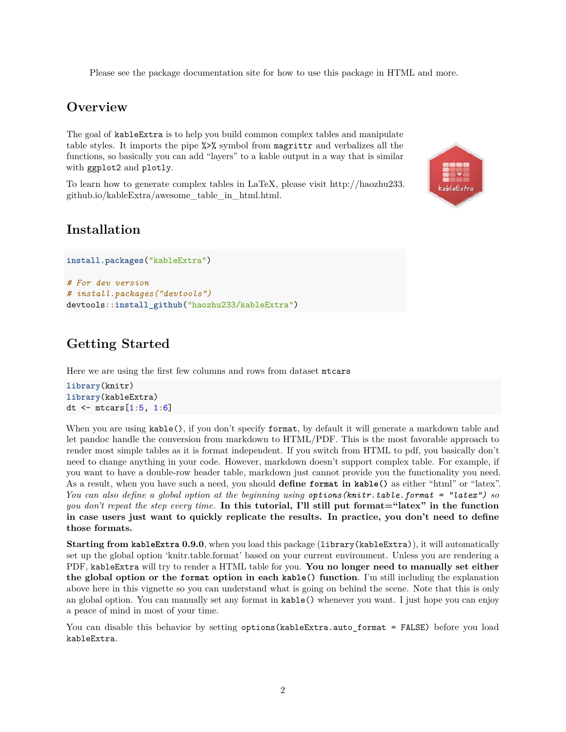Please see the package [documentation site](http://haozhu233.github.io/kableExtra) for how to use this package in HTML and more.

# <span id="page-1-0"></span>**Overview**

The goal of kableExtra is to help you build common complex tables and manipulate table styles. It imports the pipe %>% symbol from magrittr and verbalizes all the functions, so basically you can add "layers" to a kable output in a way that is similar with ggplot2 and plotly.

To learn how to generate complex tables in LaTeX, please visit [http://haozhu233.](http://haozhu233.github.io/kableExtra/awesome_table_in_html.html) [github.io/kableExtra/awesome\\_table\\_in\\_html.html.](http://haozhu233.github.io/kableExtra/awesome_table_in_html.html)



# <span id="page-1-1"></span>**Installation**

```
install.packages("kableExtra")
# For dev version
# install.packages("devtools")
devtools::install_github("haozhu233/kableExtra")
```
# <span id="page-1-2"></span>**Getting Started**

Here we are using the first few columns and rows from dataset mtcars

```
library(knitr)
library(kableExtra)
dt <- mtcars[1:5, 1:6]
```
When you are using  $kable()$ , if you don't specify format, by default it will generate a markdown table and let pandoc handle the conversion from markdown to HTML/PDF. This is the most favorable approach to render most simple tables as it is format independent. If you switch from HTML to pdf, you basically don't need to change anything in your code. However, markdown doesn't support complex table. For example, if you want to have a double-row header table, markdown just cannot provide you the functionality you need. As a result, when you have such a need, you should **define format in kable()** as either "html" or "latex". *You can also define a global option at the beginning using options(knitr.table.format = "latex") so you don't repeat the step every time.* **In this tutorial, I'll still put format="latex" in the function in case users just want to quickly replicate the results. In practice, you don't need to define those formats.**

**Starting from kableExtra 0.9.0**, when you load this package (library(kableExtra)), it will automatically set up the global option 'knitr.table.format' based on your current environment. Unless you are rendering a PDF, kableExtra will try to render a HTML table for you. **You no longer need to manually set either the global option or the format option in each kable() function**. I'm still including the explanation above here in this vignette so you can understand what is going on behind the scene. Note that this is only an global option. You can manually set any format in kable() whenever you want. I just hope you can enjoy a peace of mind in most of your time.

You can disable this behavior by setting options (kableExtra.auto format = FALSE) before you load kableExtra.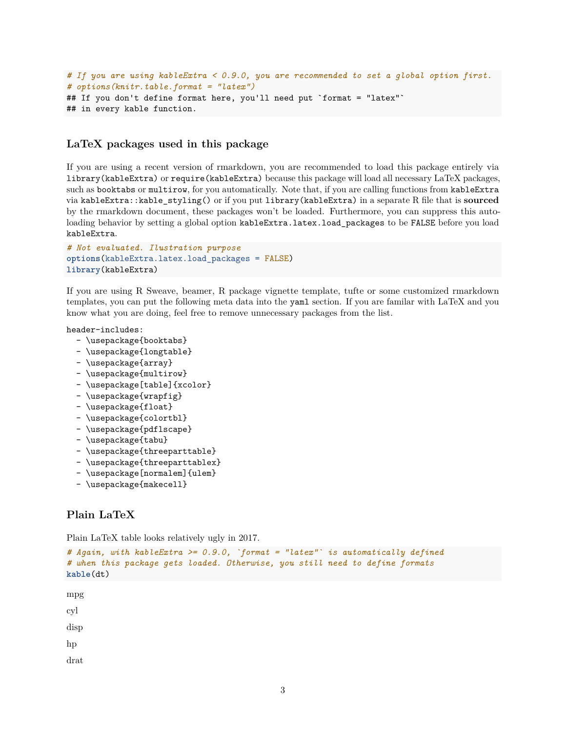```
# If you are using kableExtra < 0.9.0, you are recommended to set a global option first.
# options(knitr.table.format = "latex")
## If you don't define format here, you'll need put `format = "latex"`
## in every kable function.
```
## <span id="page-2-0"></span>**LaTeX packages used in this package**

If you are using a recent version of rmarkdown, you are recommended to load this package entirely via library(kableExtra) or require(kableExtra) because this package will load all necessary LaTeX packages, such as booktabs or multirow, for you automatically. Note that, if you are calling functions from kableExtra via kableExtra::kable\_styling() or if you put library(kableExtra) in a separate R file that is **sourced** by the rmarkdown document, these packages won't be loaded. Furthermore, you can suppress this autoloading behavior by setting a global option kableExtra.latex.load\_packages to be FALSE before you load kableExtra.

```
# Not evaluated. Ilustration purpose
options(kableExtra.latex.load_packages = FALSE)
library(kableExtra)
```
If you are using R Sweave, beamer, R package vignette template, tufte or some customized rmarkdown templates, you can put the following meta data into the yaml section. If you are familar with LaTeX and you know what you are doing, feel free to remove unnecessary packages from the list.

header-includes:

- \usepackage{booktabs}
- \usepackage{longtable}
- \usepackage{array}
- \usepackage{multirow}
- \usepackage[table]{xcolor}
- \usepackage{wrapfig}
- \usepackage{float}
- \usepackage{colortbl}
- \usepackage{pdflscape}
- \usepackage{tabu}
- \usepackage{threeparttable}
- \usepackage{threeparttablex}
- \usepackage[normalem]{ulem}
- \usepackage{makecell}

### <span id="page-2-1"></span>**Plain LaTeX**

Plain LaTeX table looks relatively ugly in 2017.

```
# Again, with kableExtra >= 0.9.0, `format = "latex"` is automatically defined
# when this package gets loaded. Otherwise, you still need to define formats
kable(dt)
```
mpg

cyl

disp

hp

drat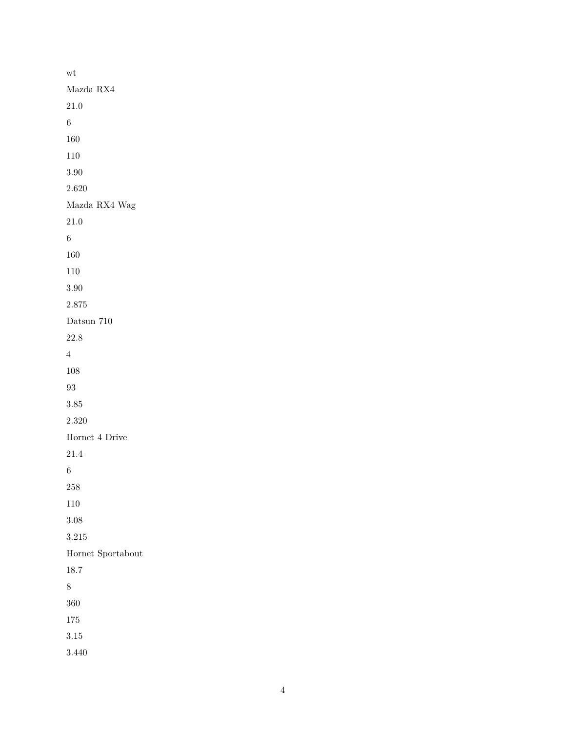| wt                   |
|----------------------|
| Mazda $\mathit{RX}4$ |
| 21.0                 |
| $\sqrt{6}$           |
| 160                  |
| 110                  |
| $3.90\,$             |
| 2.620                |
| Mazda RX4 Wag        |
| 21.0                 |
| $\boldsymbol{6}$     |
| 160                  |
| 110                  |
| 3.90                 |
| 2.875                |
| Datsun 710           |
| 22.8                 |
| $\overline{4}$       |
| 108                  |
| 93                   |
| $3.85\,$             |
| 2.320                |
| Hornet 4 Drive       |
| 21.4                 |
| $\;6\;$              |
| 258                  |
| 110                  |
| 3.08                 |
| 3.215                |
| Hornet Sportabout    |
| 18.7                 |
| 8                    |
| 360                  |
| 175                  |
| 3.15                 |
| 3.440                |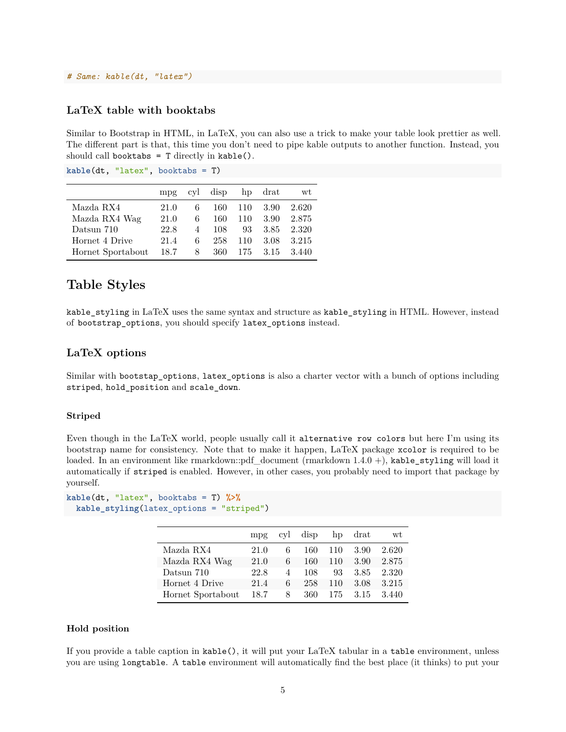#### *# Same: kable(dt, "latex")*

## <span id="page-4-0"></span>**LaTeX table with booktabs**

Similar to Bootstrap in HTML, in LaTeX, you can also use a trick to make your table look prettier as well. The different part is that, this time you don't need to pipe kable outputs to another function. Instead, you should call booktabs  $=$  T directly in kable().

|                   | mpg  | cvl | disp | hp  | drat | wt    |
|-------------------|------|-----|------|-----|------|-------|
| Mazda RX4         | 21.0 | 6   | 160  | 110 | 3.90 | 2.620 |
| Mazda RX4 Wag     | 21.0 | 6   | 160  | 110 | 3.90 | 2.875 |
| Datsun 710        | 22.8 | 4   | 108  | 93  | 3.85 | 2.320 |
| Hornet 4 Drive    | 21.4 | 6   | 258  | 110 | 3.08 | 3.215 |
| Hornet Sportabout | 18.7 | 8   | 360  | 175 | 3.15 | 3.440 |

**kable**(dt, "latex", booktabs = T)

# <span id="page-4-1"></span>**Table Styles**

kable styling in LaTeX uses the same syntax and structure as kable styling in HTML. However, instead of bootstrap\_options, you should specify latex\_options instead.

### <span id="page-4-2"></span>**LaTeX options**

Similar with bootstap\_options, latex\_options is also a charter vector with a bunch of options including striped, hold\_position and scale\_down.

#### **Striped**

Even though in the LaTeX world, people usually call it alternative row colors but here I'm using its bootstrap name for consistency. Note that to make it happen, LaTeX package xcolor is required to be loaded. In an environment like rmarkdown::pdf document (rmarkdown  $1.4.0 +$ ), kable\_styling will load it automatically if striped is enabled. However, in other cases, you probably need to import that package by yourself.

```
kable(dt, "latex", booktabs = T) %>%
  kable_styling(latex_options = "striped")
```

|                   | mpg  | cyl            | disp | hp  | drat | wt    |
|-------------------|------|----------------|------|-----|------|-------|
| Mazda RX4         | 21.0 | 6              | 160  | 110 | 3.90 | 2.620 |
| Mazda RX4 Wag     | 21.0 | 6              | 160  | 110 | 3.90 | 2.875 |
| Datsun 710        | 22.8 | $\overline{4}$ | 108  | 93  | 3.85 | 2.320 |
| Hornet 4 Drive    | 21.4 | 6              | 258  | 110 | 3.08 | 3.215 |
| Hornet Sportabout | 18.7 | 8              | 360  | 175 | 3.15 | 3.440 |

#### **Hold position**

If you provide a table caption in kable(), it will put your LaTeX tabular in a table environment, unless you are using longtable. A table environment will automatically find the best place (it thinks) to put your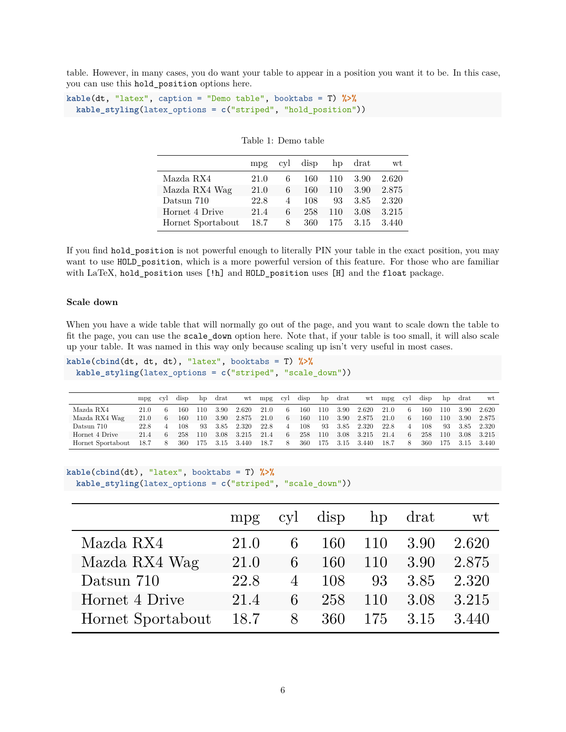table. However, in many cases, you do want your table to appear in a position you want it to be. In this case, you can use this hold\_position options here.

```
kable(dt, "latex", caption = "Demo table", booktabs = T) %>%
 kable_styling(latex_options = c("striped", "hold_position"))
```

|                   | mpg  |                | cyl disp |      | hp drat | wt    |
|-------------------|------|----------------|----------|------|---------|-------|
| Mazda RX4         | 21.0 | 6              | 160 -    | -110 | 3.90    | 2.620 |
| Mazda RX4 Wag     | 21.0 | 6              | 160      | 110  | 3.90    | 2.875 |
| Datsun 710        | 22.8 | $\overline{4}$ | 108      | 93.  | 3.85    | 2.320 |
| Hornet 4 Drive    | 21.4 | 6              | 258      | 110  | 3.08    | 3.215 |
| Hornet Sportabout | 18.7 | 8.             | 360 -    | 175  | 3.15    | 3.440 |

Table 1: Demo table

If you find hold position is not powerful enough to literally PIN your table in the exact position, you may want to use HOLD\_position, which is a more powerful version of this feature. For those who are familiar with LaTeX, hold\_position uses [!h] and HOLD\_position uses [H] and the float package.

#### **Scale down**

When you have a wide table that will normally go out of the page, and you want to scale down the table to fit the page, you can use the scale\_down option here. Note that, if your table is too small, it will also scale up your table. It was named in this way only because scaling up isn't very useful in most cases.

```
kable(cbind(dt, dt, dt), "latex", booktabs = T) %>%
  kable_styling(latex_options = c("striped", "scale_down"))
```

|                   | mpg  | cv1 | disp | hp  | drat | wt    | mpg  | cyl | disp | hp  | drat | wt    | mpg  | cyl | disp | hp  | drat | wt.   |
|-------------------|------|-----|------|-----|------|-------|------|-----|------|-----|------|-------|------|-----|------|-----|------|-------|
| Mazda RX4         | 21.0 |     | 160- | 110 | 3.90 | 2.620 | 21.0 | -6  | 160  | 110 | 3.90 | 2.620 | 21.0 | 6   | 160  | 110 | 3.90 | 2.620 |
| Mazda RX4 Wag     | 21.0 | 6   | 160- | 110 | 3.90 | 2.875 | 21.0 | 6   | 160  | 110 | 3.90 | 2.875 | 21.0 | 6   | 160  | 110 | 3.90 | 2.875 |
| Datsun 710        | 22.8 |     | 108. | 93  | 3.85 | 2.320 | 22.8 | 4   | 108  | -93 | 3.85 | 2.320 | 22.8 |     | 108  | 93  | 3.85 | 2.320 |
| Hornet 4 Drive    | 21.4 | 6   | 258  | 110 | 3.08 | 3.215 | 21.4 | 6   | 258  | 110 | 3.08 | 3.215 | 21.4 | 6   | 258  | 110 | 3.08 | 3.215 |
| Hornet Sportabout | 18.7 | 8   | 360  | 175 | 3.15 | 3.440 | 18.7 | 8   | 360  | 175 | 3.15 | 3.440 | 18.7 | 8   | 360  | 175 |      | 3.440 |

```
kable(cbind(dt), "latex", booktabs = T) %>%
 kable_styling(latex_options = c("striped", "scale_down"))
```

|                   | mpg  |                | cyl disp |         | hp drat | wt    |
|-------------------|------|----------------|----------|---------|---------|-------|
| Mazda RX4         | 21.0 | 6              | 160      | 110     | 3.90    | 2.620 |
| Mazda RX4 Wag     | 21.0 | 6              | 160      | 110     | 3.90    | 2.875 |
| Datsun 710        | 22.8 | $\overline{4}$ | 108      | 93      | 3.85    | 2.320 |
| Hornet 4 Drive    | 21.4 | 6              | 258      | 110     | 3.08    | 3.215 |
| Hornet Sportabout | 18.7 | 8              |          | 360 175 | 3.15    | 3.440 |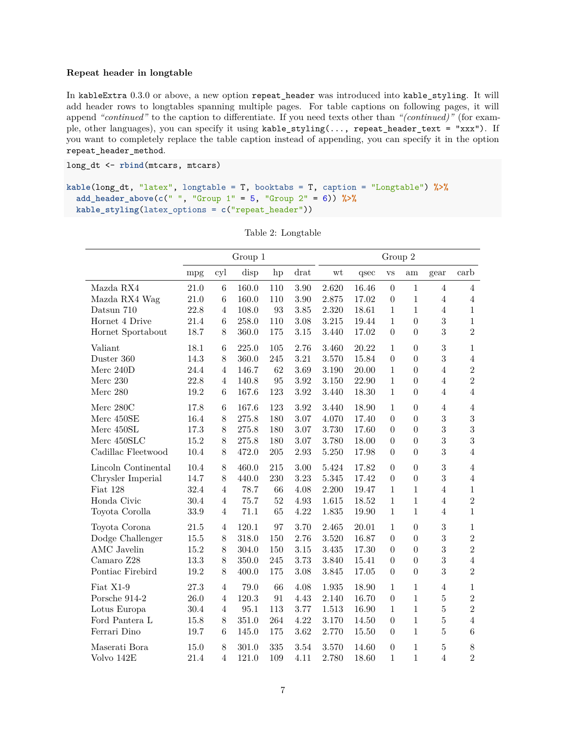#### **Repeat header in longtable**

In kableExtra 0.3.0 or above, a new option repeat\_header was introduced into kable\_styling. It will add header rows to longtables spanning multiple pages. For table captions on following pages, it will append *"continued"* to the caption to differentiate. If you need texts other than *"(continued)"* (for example, other languages), you can specify it using kable\_styling(..., repeat\_header\_text = "xxx"). If you want to completely replace the table caption instead of appending, you can specify it in the option repeat\_header\_method.

```
long_dt <- rbind(mtcars, mtcars)
```

```
kable(long_dt, "latex", longtable = T, booktabs = T, caption = "Longtable") %>%
 add_header_above(c(" ", "Group 1" = 5, "Group 2" = 6)) %>%
 kable_styling(latex_options = c("repeat_header"))
```

|                      |          |                | Group 1  |         |          |       |           | Group 2          |                  |                |                |
|----------------------|----------|----------------|----------|---------|----------|-------|-----------|------------------|------------------|----------------|----------------|
|                      | mpg      | cyl            | disp     | hp      | drat     | wt    | qsec      | $_{\rm VS}$      | am               | gear           | carb           |
| Mazda $\mathit{RX4}$ | 21.0     | $\,6$          | 160.0    | 110     | 3.90     | 2.620 | 16.46     | $\overline{0}$   | $\mathbf{1}$     | $\overline{4}$ | $\overline{4}$ |
| Mazda RX4 Wag        | 21.0     | $\,6$          | 160.0    | 110     | $3.90\,$ | 2.875 | 17.02     | $\boldsymbol{0}$ | $\mathbf{1}$     | $\overline{4}$ | $\sqrt{4}$     |
| Datsun $710\,$       | 22.8     | $\overline{4}$ | 108.0    | 93      | 3.85     | 2.320 | 18.61     | $\mathbf{1}$     | $\mathbf{1}$     | $\overline{4}$ | $\,1$          |
| Hornet 4 Drive       | 21.4     | $\,6$          | 258.0    | 110     | 3.08     | 3.215 | 19.44     | $\mathbf{1}$     | $\overline{0}$   | 3              | $1\,$          |
| Hornet Sportabout    | 18.7     | 8              | 360.0    | 175     | $3.15\,$ | 3.440 | 17.02     | $\boldsymbol{0}$ | $\overline{0}$   | 3              | $\overline{2}$ |
| Valiant              | 18.1     | $\,6$          | 225.0    | 105     | 2.76     | 3.460 | 20.22     | $\mathbf{1}$     | $\overline{0}$   | 3              | $\mathbf{1}$   |
| Duster 360           | 14.3     | 8              | 360.0    | 245     | $3.21\,$ | 3.570 | 15.84     | $\boldsymbol{0}$ | $\overline{0}$   | 3              | $\,4\,$        |
| Merc $240D$          | 24.4     | $\overline{4}$ | 146.7    | 62      | 3.69     | 3.190 | 20.00     | $1\,$            | $\overline{0}$   | $\overline{4}$ | $\overline{2}$ |
| Merc 230             | 22.8     | $\overline{4}$ | 140.8    | 95      | 3.92     | 3.150 | 22.90     | $1\,$            | $\overline{0}$   | $\overline{4}$ | $\overline{2}$ |
| Merc 280             | 19.2     | $\,6$          | 167.6    | 123     | $3.92\,$ | 3.440 | 18.30     | $1\,$            | $\boldsymbol{0}$ | $\overline{4}$ | $\overline{4}$ |
| Merc 280C            | 17.8     | $\,6$          | 167.6    | 123     | 3.92     | 3.440 | 18.90     | $\mathbf{1}$     | $\overline{0}$   | $\overline{4}$ | $\overline{4}$ |
| Merc 450SE           | 16.4     | $8\,$          | 275.8    | 180     | 3.07     | 4.070 | 17.40     | $\boldsymbol{0}$ | $\boldsymbol{0}$ | 3              | $\sqrt{3}$     |
| Merc 450SL           | 17.3     | $8\,$          | 275.8    | 180     | 3.07     | 3.730 | 17.60     | $\boldsymbol{0}$ | $\boldsymbol{0}$ | 3              | $\overline{3}$ |
| Merc 450SLC          | $15.2\,$ | $8\,$          | 275.8    | 180     | 3.07     | 3.780 | 18.00     | $\boldsymbol{0}$ | $\boldsymbol{0}$ | 3              | $\sqrt{3}$     |
| Cadillac Fleetwood   | 10.4     | 8              | 472.0    | $205\,$ | $2.93\,$ | 5.250 | 17.98     | $\boldsymbol{0}$ | $\boldsymbol{0}$ | 3              | $\overline{4}$ |
| Lincoln Continental  | 10.4     | 8              | 460.0    | $215\,$ | 3.00     | 5.424 | 17.82     | $\boldsymbol{0}$ | $\boldsymbol{0}$ | 3              | $\sqrt{4}$     |
| Chrysler Imperial    | 14.7     | 8              | 440.0    | 230     | 3.23     | 5.345 | 17.42     | $\overline{0}$   | $\overline{0}$   | 3              | $\,4\,$        |
| Fiat 128             | 32.4     | $\overline{4}$ | 78.7     | 66      | 4.08     | 2.200 | 19.47     | $\mathbf{1}$     | $\mathbf{1}$     | $\overline{4}$ | $\mathbf{1}$   |
| Honda Civic          | 30.4     | $\overline{4}$ | 75.7     | $52\,$  | 4.93     | 1.615 | $18.52\,$ | $1\,$            | $1\,$            | $\overline{4}$ | $\sqrt{2}$     |
| Toyota Corolla       | 33.9     | $\overline{4}$ | 71.1     | 65      | 4.22     | 1.835 | 19.90     | $\mathbf{1}$     | $\mathbf{1}$     | $\overline{4}$ | $\mathbf{1}$   |
| Toyota Corona        | 21.5     | $\overline{4}$ | 120.1    | 97      | 3.70     | 2.465 | 20.01     | $\,1\,$          | $\overline{0}$   | 3              | $\,1$          |
| Dodge Challenger     | 15.5     | 8              | 318.0    | 150     | 2.76     | 3.520 | 16.87     | $\overline{0}$   | $\overline{0}$   | 3              | $\overline{2}$ |
| <b>AMC</b> Javelin   | $15.2\,$ | 8              | 304.0    | 150     | $3.15\,$ | 3.435 | 17.30     | $\overline{0}$   | $\overline{0}$   | 3              | $\overline{2}$ |
| Camaro Z28           | 13.3     | 8              | 350.0    | $245\,$ | 3.73     | 3.840 | 15.41     | $\boldsymbol{0}$ | $\boldsymbol{0}$ | 3              | $\,4\,$        |
| Pontiac Firebird     | 19.2     | 8              | 400.0    | 175     | 3.08     | 3.845 | 17.05     | $\overline{0}$   | $\overline{0}$   | 3              | $\overline{2}$ |
| Fiat X1-9            | 27.3     | $\overline{4}$ | 79.0     | 66      | 4.08     | 1.935 | 18.90     | $\mathbf{1}$     | $1\,$            | $\overline{4}$ | $\mathbf{1}$   |
| Porsche 914-2        | 26.0     | $\overline{4}$ | 120.3    | 91      | 4.43     | 2.140 | 16.70     | $\boldsymbol{0}$ | $\mathbf{1}$     | $\overline{5}$ | $\sqrt{2}$     |
| Lotus Europa         | 30.4     | $\sqrt{4}$     | $95.1\,$ | 113     | 3.77     | 1.513 | 16.90     | $\,1\,$          | $\mathbf{1}$     | $\overline{5}$ | $\overline{2}$ |
| Ford Pantera L       | 15.8     | 8              | 351.0    | 264     | 4.22     | 3.170 | 14.50     | $\boldsymbol{0}$ | $1\,$            | $\overline{5}$ | $\,4\,$        |
| Ferrari Dino         | 19.7     | 6              | 145.0    | 175     | 3.62     | 2.770 | 15.50     | $\overline{0}$   | $\mathbf{1}$     | $\overline{5}$ | $\overline{6}$ |
| Maserati Bora        | 15.0     | 8              | 301.0    | 335     | 3.54     | 3.570 | 14.60     | $\boldsymbol{0}$ | $\mathbf{1}$     | $\bf 5$        | $8\,$          |
| Volvo 142E           | 21.4     | $\overline{4}$ | 121.0    | 109     | 4.11     | 2.780 | 18.60     | $1\,$            | $\mathbf{1}$     | $\overline{4}$ | $\overline{2}$ |
|                      |          |                |          |         |          |       |           |                  |                  |                |                |

Table 2: Longtable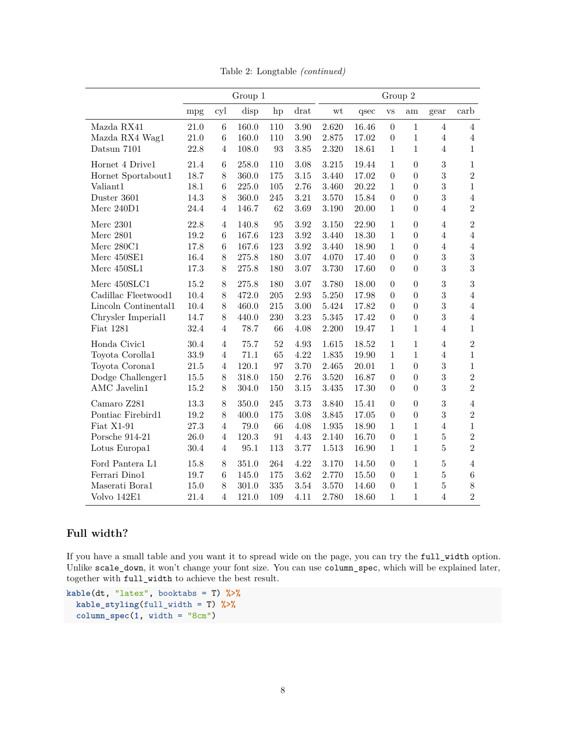|                      | Group 1  |                  |       |     |          |           |       | Group 2          |                  |                |                 |
|----------------------|----------|------------------|-------|-----|----------|-----------|-------|------------------|------------------|----------------|-----------------|
|                      | mpg      | cyl              | disp  | hp  | drat     | wt        | qsec  | <b>VS</b>        | am               | gear           | carb            |
| Mazda RX41           | 21.0     | 6                | 160.0 | 110 | $3.90\,$ | 2.620     | 16.46 | $\theta$         | 1                | $\overline{4}$ | $\overline{4}$  |
| Mazda RX4 Wag1       | $21.0\,$ | $6\phantom{.}6$  | 160.0 | 110 | 3.90     | 2.875     | 17.02 | $\boldsymbol{0}$ | $\mathbf{1}$     | $\overline{4}$ | $\overline{4}$  |
| Datsun 7101          | 22.8     | $\overline{4}$   | 108.0 | 93  | 3.85     | 2.320     | 18.61 | $\mathbf{1}$     | $\mathbf 1$      | $\overline{4}$ | $\mathbf{1}$    |
| Hornet 4 Drive1      | 21.4     | $6\phantom{.}6$  | 258.0 | 110 | 3.08     | 3.215     | 19.44 | 1                | $\boldsymbol{0}$ | 3              | 1               |
| Hornet Sportabout1   | 18.7     | 8                | 360.0 | 175 | 3.15     | 3.440     | 17.02 | $\boldsymbol{0}$ | $\boldsymbol{0}$ | 3              | $\overline{2}$  |
| Valiant1             | 18.1     | $6\phantom{.}6$  | 225.0 | 105 | 2.76     | 3.460     | 20.22 | 1                | $\overline{0}$   | 3              | $\mathbf{1}$    |
| Duster 3601          | 14.3     | 8                | 360.0 | 245 | $3.21\,$ | 3.570     | 15.84 | $\overline{0}$   | $\boldsymbol{0}$ | 3              | $\overline{4}$  |
| Merc 240D1           | 24.4     | $\overline{4}$   | 146.7 | 62  | 3.69     | 3.190     | 20.00 | 1                | $\boldsymbol{0}$ | $\overline{4}$ | $\overline{2}$  |
| Merc 2301            | 22.8     | $\overline{4}$   | 140.8 | 95  | 3.92     | 3.150     | 22.90 | $\mathbf{1}$     | $\theta$         | $\overline{4}$ | $\overline{2}$  |
| <b>Merc 2801</b>     | 19.2     | $\boldsymbol{6}$ | 167.6 | 123 | 3.92     | 3.440     | 18.30 | $\mathbf 1$      | $\boldsymbol{0}$ | $\overline{4}$ | $\overline{4}$  |
| Merc $280C1$         | 17.8     | $6\phantom{.}6$  | 167.6 | 123 | 3.92     | 3.440     | 18.90 | 1                | $\boldsymbol{0}$ | $\overline{4}$ | $\overline{4}$  |
| Merc 450SE1          | 16.4     | $8\,$            | 275.8 | 180 | 3.07     | 4.070     | 17.40 | $\boldsymbol{0}$ | $\boldsymbol{0}$ | 3              | 3               |
| Merc 450SL1          | 17.3     | 8                | 275.8 | 180 | 3.07     | 3.730     | 17.60 | $\overline{0}$   | $\overline{0}$   | 3              | 3               |
| Merc 450SLC1         | 15.2     | 8                | 275.8 | 180 | 3.07     | 3.780     | 18.00 | $\boldsymbol{0}$ | $\boldsymbol{0}$ | 3              | $\overline{3}$  |
| Cadillac Fleetwood1  | 10.4     | 8                | 472.0 | 205 | 2.93     | 5.250     | 17.98 | $\boldsymbol{0}$ | $\overline{0}$   | 3              | $\overline{4}$  |
| Lincoln Continental1 | 10.4     | 8                | 460.0 | 215 | 3.00     | 5.424     | 17.82 | $\overline{0}$   | $\overline{0}$   | 3              | $\overline{4}$  |
| Chrysler Imperial1   | 14.7     | 8                | 440.0 | 230 | 3.23     | $5.345\,$ | 17.42 | $\boldsymbol{0}$ | $\boldsymbol{0}$ | 3              | $\overline{4}$  |
| Fiat 1281            | 32.4     | $\overline{4}$   | 78.7  | 66  | 4.08     | 2.200     | 19.47 | $\mathbf 1$      | $\mathbf 1$      | $\overline{4}$ | $\mathbf{1}$    |
| Honda Civic1         | 30.4     | $\overline{4}$   | 75.7  | 52  | 4.93     | 1.615     | 18.52 | 1                | $\mathbf{1}$     | $\overline{4}$ | $\overline{2}$  |
| Toyota Corolla1      | 33.9     | 4                | 71.1  | 65  | 4.22     | 1.835     | 19.90 | $\mathbf{1}$     | $\mathbf{1}$     | $\overline{4}$ | $\mathbf{1}$    |
| Toyota Corona1       | 21.5     | $\overline{4}$   | 120.1 | 97  | 3.70     | 2.465     | 20.01 | $\mathbf{1}$     | $\boldsymbol{0}$ | 3              | $\mathbf 1$     |
| Dodge Challenger1    | 15.5     | 8                | 318.0 | 150 | 2.76     | 3.520     | 16.87 | $\boldsymbol{0}$ | $\overline{0}$   | 3              | $\overline{2}$  |
| AMC Javelin1         | 15.2     | 8                | 304.0 | 150 | 3.15     | 3.435     | 17.30 | $\boldsymbol{0}$ | $\boldsymbol{0}$ | 3              | $\overline{2}$  |
| Camaro Z281          | 13.3     | 8                | 350.0 | 245 | 3.73     | 3.840     | 15.41 | $\boldsymbol{0}$ | $\boldsymbol{0}$ | $\overline{3}$ | $\overline{4}$  |
| Pontiac Firebird1    | 19.2     | 8                | 400.0 | 175 | 3.08     | 3.845     | 17.05 | $\boldsymbol{0}$ | $\boldsymbol{0}$ | 3              | $\overline{2}$  |
| Fiat X1-91           | $27.3\,$ | $\overline{4}$   | 79.0  | 66  | 4.08     | $1.935\,$ | 18.90 | $\mathbf{1}$     | $\mathbf{1}$     | $\overline{4}$ | $\mathbf{1}$    |
| Porsche 914-21       | 26.0     | $\overline{4}$   | 120.3 | 91  | 4.43     | 2.140     | 16.70 | $\boldsymbol{0}$ | $\mathbf{1}$     | $\bf 5$        | $\overline{2}$  |
| Lotus Europa1        | 30.4     | $\overline{4}$   | 95.1  | 113 | 3.77     | 1.513     | 16.90 | $\mathbf{1}$     | $\mathbf 1$      | 5              | $\overline{2}$  |
| Ford Pantera L1      | 15.8     | 8                | 351.0 | 264 | 4.22     | 3.170     | 14.50 | $\boldsymbol{0}$ | $\mathbf{1}$     | 5              | $\overline{4}$  |
| Ferrari Dino1        | 19.7     | 6                | 145.0 | 175 | 3.62     | 2.770     | 15.50 | $\boldsymbol{0}$ | $\mathbf 1$      | 5              | $6\phantom{.}6$ |
| Maserati Bora1       | 15.0     | 8                | 301.0 | 335 | 3.54     | 3.570     | 14.60 | $\boldsymbol{0}$ | $\mathbf 1$      | 5              | 8               |
| Volvo 142E1          | 21.4     | $\overline{4}$   | 121.0 | 109 | 4.11     | 2.780     | 18.60 | 1                | $\mathbf{1}$     | $\overline{4}$ | $\overline{2}$  |

Table 2: Longtable *(continued)*

# <span id="page-7-0"></span>**Full width?**

If you have a small table and you want it to spread wide on the page, you can try the full\_width option. Unlike scale\_down, it won't change your font size. You can use column\_spec, which will be explained later, together with full\_width to achieve the best result.

```
kable(dt, "latex", booktabs = T) %>%
  kable_styling(full_width = T) %>%
  column_spec(1, width = "8cm")
```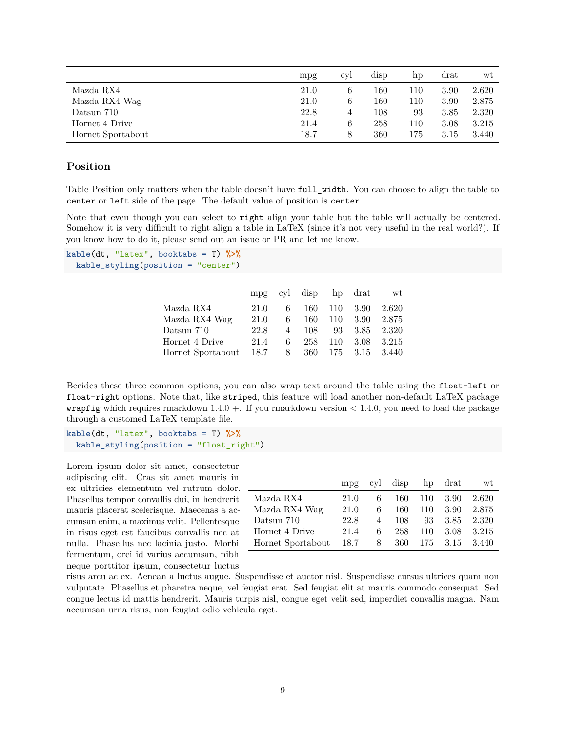|                   | mpg  | cyl | disp | hp  | drat | wt    |
|-------------------|------|-----|------|-----|------|-------|
| Mazda RX4         | 21.0 |     | 160  | 110 | 3.90 | 2.620 |
| Mazda RX4 Wag     | 21.0 |     | 160  | 110 | 3.90 | 2.875 |
| Datsun 710        | 22.8 |     | 108  | 93  | 3.85 | 2.320 |
| Hornet 4 Drive    | 21.4 | 6   | 258  | 110 | 3.08 | 3.215 |
| Hornet Sportabout | 18.7 |     | 360  | 175 | 3.15 | 3.440 |

### <span id="page-8-0"></span>**Position**

Table Position only matters when the table doesn't have full\_width. You can choose to align the table to center or left side of the page. The default value of position is center.

Note that even though you can select to right align your table but the table will actually be centered. Somehow it is very difficult to right align a table in LaTeX (since it's not very useful in the real world?). If you know how to do it, please send out an issue or PR and let me know.

```
kable(dt, "latex", booktabs = T) %>%
  kable_styling(position = "center")
```

|                   | mp <sub>g</sub> | cyl            | disp |     | hp drat | wt    |
|-------------------|-----------------|----------------|------|-----|---------|-------|
| Mazda RX4         | 21.0            | 6              | 160  | 110 | 3.90    | 2.620 |
| Mazda RX4 Wag     | 21.0            | 6              | 160  | 110 | 3.90    | 2.875 |
| Datsun 710        | 22.8            | $\overline{4}$ | 108  | 93  | 3.85    | 2.320 |
| Hornet 4 Drive    | 21.4            | 6              | 258  | 110 | 3.08    | 3.215 |
| Hornet Sportabout | 18.7            | 8              | 360  | 175 | 3.15    | 3.440 |

Becides these three common options, you can also wrap text around the table using the float-left or float-right options. Note that, like striped, this feature will load another non-default LaTeX package **wrapfig** which requires rmarkdown  $1.4.0 +$ . If you rmarkdown version  $\lt 1.4.0$ , you need to load the package through a customed LaTeX template file.

**kable**(dt, "latex", booktabs = T) **%>% kable\_styling**(position = "float\_right")

Lorem ipsum dolor sit amet, consectetur adipiscing elit. Cras sit amet mauris in ex ultricies elementum vel rutrum dolor. Phasellus tempor convallis dui, in hendrerit mauris placerat scelerisque. Maecenas a accumsan enim, a maximus velit. Pellentesque in risus eget est faucibus convallis nec at nulla. Phasellus nec lacinia justo. Morbi fermentum, orci id varius accumsan, nibh neque porttitor ipsum, consectetur luctus

|                   | mp <sub>g</sub> | cvl            | disp |     | hp drat | wt    |
|-------------------|-----------------|----------------|------|-----|---------|-------|
| Mazda RX4         | 21.0            | 6              | 160  | 110 | 3.90    | 2.620 |
| Mazda RX4 Wag     | 21.0            | 6              | 160  | 110 | 3.90    | 2.875 |
| Datsun 710        | 22.8            | $\overline{4}$ | 108  | 93  | 3.85    | 2.320 |
| Hornet 4 Drive    | 21.4            | 6              | 258  | 110 | 3.08    | 3.215 |
| Hornet Sportabout | 18.7            | 8              | 360  | 175 | 3.15    | 3.440 |

risus arcu ac ex. Aenean a luctus augue. Suspendisse et auctor nisl. Suspendisse cursus ultrices quam non vulputate. Phasellus et pharetra neque, vel feugiat erat. Sed feugiat elit at mauris commodo consequat. Sed congue lectus id mattis hendrerit. Mauris turpis nisl, congue eget velit sed, imperdiet convallis magna. Nam accumsan urna risus, non feugiat odio vehicula eget.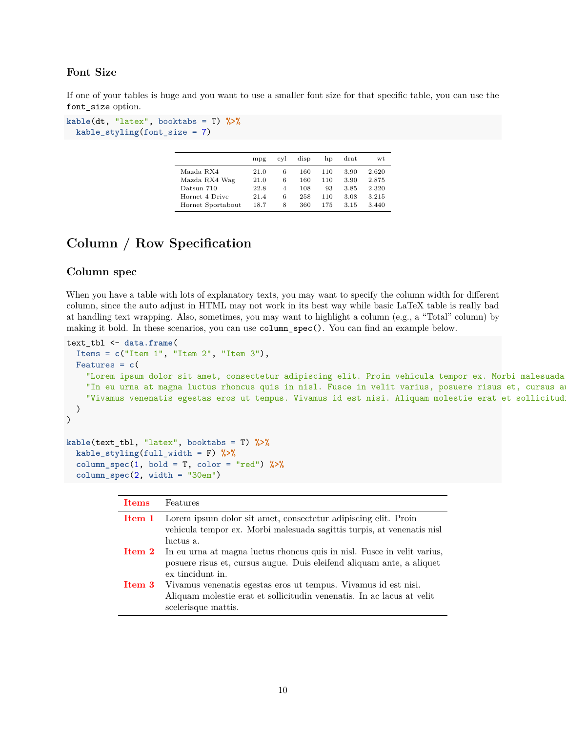# <span id="page-9-0"></span>**Font Size**

If one of your tables is huge and you want to use a smaller font size for that specific table, you can use the font\_size option.

```
kable(dt, "latex", booktabs = T) %>%
 kable_styling(font_size = 7)
```

|                   | mpg  | cvl            | disp | hp  | $drat$ | wt    |
|-------------------|------|----------------|------|-----|--------|-------|
| Mazda RX4         | 21.0 | 6              | 160  | 110 | 3.90   | 2.620 |
| Mazda RX4 Wag     | 21.0 | 6              | 160  | 110 | 3.90   | 2.875 |
| Datsun 710        | 22.8 | $\overline{4}$ | 108  | 93  | 3.85   | 2.320 |
| Hornet 4 Drive    | 21.4 | 6              | 258  | 110 | 3.08   | 3.215 |
| Hornet Sportabout | 18.7 | 8              | 360  | 175 | 3.15   | 3.440 |

# <span id="page-9-1"></span>**Column / Row Specification**

### <span id="page-9-2"></span>**Column spec**

When you have a table with lots of explanatory texts, you may want to specify the column width for different column, since the auto adjust in HTML may not work in its best way while basic LaTeX table is really bad at handling text wrapping. Also, sometimes, you may want to highlight a column (e.g., a "Total" column) by making it bold. In these scenarios, you can use column\_spec(). You can find an example below.

```
text_tbl <- data.frame(
 Items = c("Item 1", "Item 2", "Item 3"),
 Features = c(
    "Lorem ipsum dolor sit amet, consectetur adipiscing elit. Proin vehicula tempor ex. Morbi malesuada
   "In eu urna at magna luctus rhoncus quis in nisl. Fusce in velit varius, posuere risus et, cursus a
    "Vivamus venenatis egestas eros ut tempus. Vivamus id est nisi. Aliquam molestie erat et sollicitud
 )
)
```

```
kable(text_tbl, "latex", booktabs = T) %>%
  kable_styling(full_width = F) %>%
  \text{column\_spec}(1, \text{ bold} = T, \text{color} = \text{"red"}) %>%
  column_spec(2, width = "30em")
```

| <b>Items</b> | Features                                                                                                                                                                           |
|--------------|------------------------------------------------------------------------------------------------------------------------------------------------------------------------------------|
|              | <b>Item 1</b> Lorem ipsum dolor sit amet, consectetur adipiscing elit. Proin<br>vehicula tempor ex. Morbi malesuada sagittis turpis, at venenatis nisl<br>luctus a.                |
|              | <b>Item 2</b> In eu urna at magna luctus rhoncus quis in nisl. Fusce in velit varius,<br>posuere risus et, cursus augue. Duis eleifend aliquam ante, a aliquet<br>ex tincidunt in. |
| Item 3       | Vivamus venenatis egestas eros ut tempus. Vivamus id est nisi.<br>Aliquam molestie erat et sollicitudin venenatis. In ac lacus at velit<br>scelerisque mattis.                     |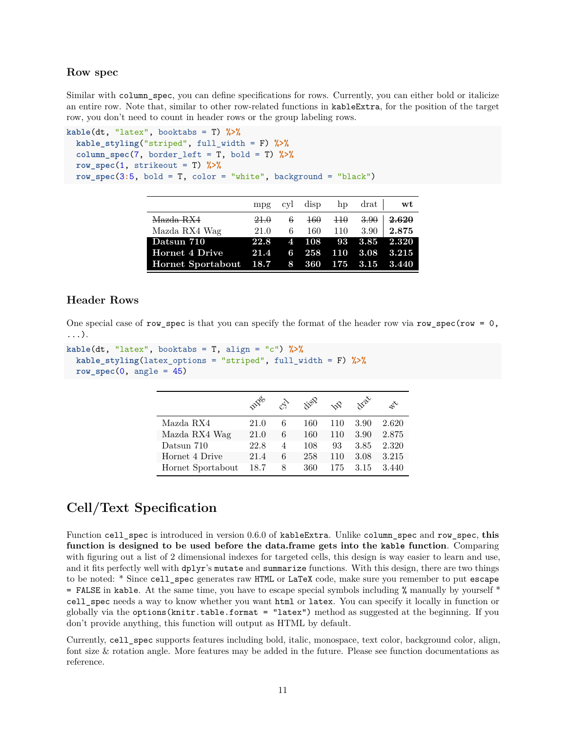### <span id="page-10-0"></span>**Row spec**

Similar with column\_spec, you can define specifications for rows. Currently, you can either bold or italicize an entire row. Note that, similar to other row-related functions in kableExtra, for the position of the target row, you don't need to count in header rows or the group labeling rows.

```
kable(dt, "latex", booktabs = T) %>%
  kable_styling("striped", full_width = F) %>%
  column_spec(7, border_left = T, bold = T) %>%
  row_spec(1, strikeout = T) %>%
  row_spec(3:5, bold = T, color = "white", background = "black")
```

|                                             |      |       |       |       | mpg cyl disp hp drat | wt                                         |
|---------------------------------------------|------|-------|-------|-------|----------------------|--------------------------------------------|
| Mazda RX4                                   | 21.0 | $6 -$ | $+60$ | $+10$ | 3.90                 | 2.620                                      |
| Mazda RX4 Wag                               | 21.0 | 6.    | 160   |       | $110 - 3.90$         | 2.875                                      |
| Datsun 710                                  |      |       |       |       |                      | 22.8 4 108 93 3.85 2.320                   |
| Hornet 4 Drive                              | 21.4 |       |       |       |                      | $6\quad 258\quad 110\quad 3.08\quad 3.215$ |
| Hornet Sportabout 18.7 8 360 175 3.15 3.440 |      |       |       |       |                      |                                            |

# <span id="page-10-1"></span>**Header Rows**

One special case of row\_spec is that you can specify the format of the header row via row\_spec(row =  $0$ , ...).

```
kable(dt, "latex", booktabs = T, align = "c") %>%
  kable_styling(latex_options = "striped", full_width = F) %>%
  row_spec(0, angle = 45)
```

|                   | velo |   | $\dot{x}^{\dot{\alpha}^{\dot{\alpha}}}$ | nP  | $x^2$ | L     |
|-------------------|------|---|-----------------------------------------|-----|-------|-------|
| Mazda RX4         | 21.0 | 6 | 160                                     | 110 | 3.90  | 2.620 |
| Mazda RX4 Wag     | 21.0 | 6 | 160                                     | 110 | 3.90  | 2.875 |
| Datsun 710        | 22.8 | 4 | 108                                     | 93  | 3.85  | 2.320 |
| Hornet 4 Drive    | 21.4 | 6 | 258                                     | 110 | 3.08  | 3.215 |
| Hornet Sportabout | 18.7 | 8 | 360                                     | 175 | 3.15  | 3.440 |

# <span id="page-10-2"></span>**Cell/Text Specification**

Function cell\_spec is introduced in version 0.6.0 of kableExtra. Unlike column\_spec and row\_spec, **this function is designed to be used before the data.frame gets into the kable function**. Comparing with figuring out a list of 2 dimensional indexes for targeted cells, this design is way easier to learn and use, and it fits perfectly well with dplyr's mutate and summarize functions. With this design, there are two things to be noted: \* Since cell\_spec generates raw HTML or LaTeX code, make sure you remember to put escape = FALSE in kable. At the same time, you have to escape special symbols including % manually by yourself \* cell\_spec needs a way to know whether you want html or latex. You can specify it locally in function or globally via the options(knitr.table.format = "latex") method as suggested at the beginning. If you don't provide anything, this function will output as HTML by default.

Currently, cell\_spec supports features including bold, italic, monospace, text color, background color, align, font size & rotation angle. More features may be added in the future. Please see function documentations as reference.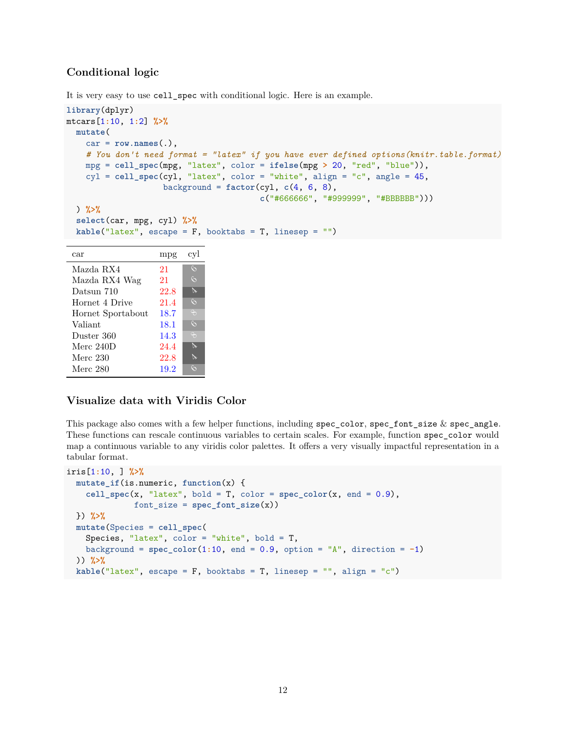# <span id="page-11-0"></span>**Conditional logic**

It is very easy to use cell\_spec with conditional logic. Here is an example.

```
library(dplyr)
mtcars[1:10, 1:2] %>%
 mutate(
   car = row.names(.),
   # You don't need format = "latex" if you have ever defined options(knitr.table.format)
   mpg = cell_spec(mpg, "latex", color = ifelse(mpg > 20, "red", "blue")),
   cyl = cell_spec(cyl, "latex", color = "white", align = "c", angle = 45,
                   background = factor(cyl, c(4, 6, 8),c("#666666", "#999999", "#BBBBBB")))
 ) %>%
 select(car, mpg, cyl) %>%
 kable("latex", escape = F, booktabs = T, linesep = "")
 car mpg cyl
```

|                   | ⊥ ∪  |          |
|-------------------|------|----------|
| Mazda RX4         | 21   | $\zeta$  |
| Mazda RX4 Wag     | 21   | $\zeta$  |
| Datsun 710        | 22.8 | $\aleph$ |
| Hornet 4 Drive    | 21.4 | $\zeta$  |
| Hornet Sportabout | 18.7 | $\Theta$ |
| Valiant           | 18.1 | $\infty$ |
| Duster 360        | 14.3 | $\Theta$ |
| Merc $240D$       | 24.4 | $\aleph$ |
| Merc 230          | 22.8 | D        |
| Merc 280          | 19.2 | $\zeta$  |

# <span id="page-11-1"></span>**Visualize data with Viridis Color**

This package also comes with a few helper functions, including spec color, spec font size  $&$  spec angle. These functions can rescale continuous variables to certain scales. For example, function spec\_color would map a continuous variable to any [viridis color palettes.](https://CRAN.R-project.org/package=viridisLite) It offers a very visually impactful representation in a tabular format.

```
iris[1:10, ] %>%
  mutate_if(is.numeric, function(x) {
    cell\_spec(x, "later", bold = T, color = spec\_color(x, end = 0.9),font_size = spec_font_size(x))
 }) %>%
  mutate(Species = cell_spec(
   Species, "latex", color = "white", bold = T,
   background = spec_color(1:10, end = 0.9, option = "A", direction = -1)
 )) %>%
  kable("latex", escape = F, booktabs = T, linesep = "", align = "c")
```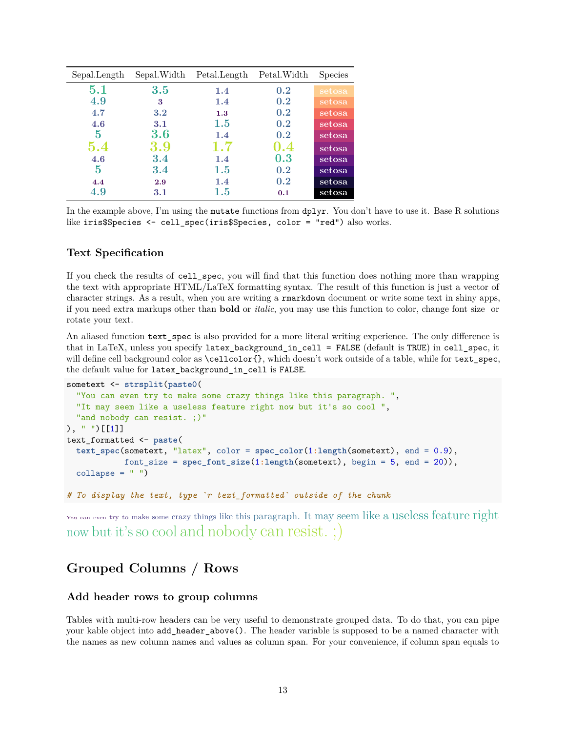| Sepal.Length | Sepal.Width | Petal.Length | Petal. Width | <b>Species</b> |
|--------------|-------------|--------------|--------------|----------------|
| $5.1\,$      | 3.5         | 1.4          | 0.2          | setosa         |
| 4.9          | 3           | 1.4          | 0.2          | setosa         |
| 4.7          | 3.2         | 1.3          | 0.2          | setosa         |
| 4.6          | 3.1         | 1.5          | 0.2          | setosa         |
| 5            | 3.6         | 1.4          | 0.2          | setosa         |
| 5.4          | 3.9         | 1.7          | 0.4          | setosa         |
| 4.6          | 3.4         | 1.4          | 0.3          | setosa         |
| 5            | 3.4         | $1.5\,$      | 0.2          | setosa         |
| 4.4          | 2.9         | 1.4          | 0.2          | setosa         |
| 4.9          | 3.1         | $1.5\,$      | 0.1          | setosa         |

In the example above, I'm using the mutate functions from dplyr. You don't have to use it. Base R solutions like iris\$Species <- cell\_spec(iris\$Species, color = "red") also works.

## <span id="page-12-0"></span>**Text Specification**

If you check the results of cell\_spec, you will find that this function does nothing more than wrapping the text with appropriate HTML/LaTeX formatting syntax. The result of this function is just a vector of character strings. As a result, when you are writing a rmarkdown document or write some text in shiny apps, if you need extra markups other than **bold** or *italic*, you may use this function to color, change font size or rotate your text.

An aliased function text spec is also provided for a more literal writing experience. The only difference is that in LaTeX, unless you specify latex\_background\_in\_cell = FALSE (default is TRUE) in cell\_spec, it will define cell background color as  $\cello{of}$ , which doesn't work outside of a table, while for text\_spec, the default value for latex\_background\_in\_cell is FALSE.

```
sometext <- strsplit(paste0(
  "You can even try to make some crazy things like this paragraph. ",
  "It may seem like a useless feature right now but it's so cool ",
  "and nobody can resist. ; )"
), " " )[[1]]text_formatted <- paste(
  text_spec(sometext, "latex", color = spec_color(1:length(sometext), end = 0.9),
            font_size = spec_font_size(1:length(sometext), begin = 5, end = 20)),
  collapse = " "")
```
*# To display the text, type `r text\_formatted` outside of the chunk*

You can even try to make some crazy things like this paragraph. It may seem like a useless feature right now but it's so cool and nobody can resist. ;)

# <span id="page-12-1"></span>**Grouped Columns / Rows**

## <span id="page-12-2"></span>**Add header rows to group columns**

Tables with multi-row headers can be very useful to demonstrate grouped data. To do that, you can pipe your kable object into add\_header\_above(). The header variable is supposed to be a named character with the names as new column names and values as column span. For your convenience, if column span equals to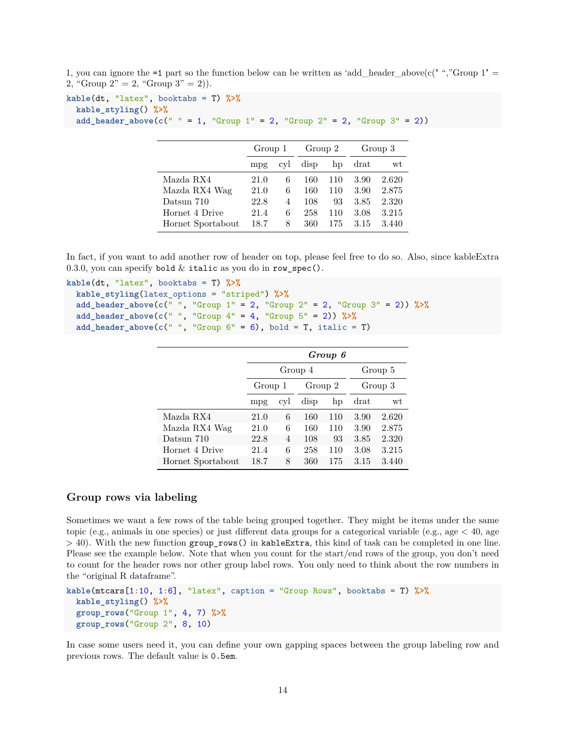```
1, you can ignore the =1 part so the function below can be written as 'add_header_above(c(" ","Group 1" =2, "Group 2" = 2, "Group 3" = 2).
```

```
kable(dt, "latex", booktabs = T) %>%
  kable_styling() %>%
  add_header_above(c(" " = 1, "Group 1" = 2, "Group 2" = 2, "Group 3" = 2))
```

|                   | Group 1 |     | Group 2 |     | Group 3 |       |
|-------------------|---------|-----|---------|-----|---------|-------|
|                   | mpg     | cvl | disp    | hp  | drat    | wt    |
| Mazda RX4         | 21.0    | 6   | 160     | 110 | 3.90    | 2.620 |
| Mazda RX4 Wag     | 21.0    | 6   | 160     | 110 | 3.90    | 2.875 |
| Datsun 710        | 22.8    | 4   | 108     | 93  | 3.85    | 2.320 |
| Hornet 4 Drive    | 21.4    | 6   | 258     | 110 | 3.08    | 3.215 |
| Hornet Sportabout | 18.7    | 8   | 360     | 175 | 3.15    | 3.440 |

In fact, if you want to add another row of header on top, please feel free to do so. Also, since kableExtra 0.3.0, you can specify bold  $&$  italic as you do in row\_spec().

```
kable(dt, "latex", booktabs = T) %>%
  kable_styling(latex_options = "striped") %>%
  add_header_above(c(" ", "Group 1" = 2, "Group 2" = 2, "Group 3" = 2)) %>%
  add_header_above(c(" ", "Group 4" = 4, "Group 5" = 2)) %>%
  add_header_above(c(" ", "Group 6" = 6), bold = T, italic = T)
```

|                   | Group 6 |                |         |     |         |         |  |  |  |
|-------------------|---------|----------------|---------|-----|---------|---------|--|--|--|
|                   |         |                | Group 4 |     | Group 5 |         |  |  |  |
|                   | Group 1 |                | Group 2 |     |         | Group 3 |  |  |  |
|                   | mpg     | cyl            | disp    | hp  | $drat$  | wt      |  |  |  |
| Mazda RX4         | 21.0    | 6              | 160     | 110 | 3.90    | 2.620   |  |  |  |
| Mazda RX4 Wag     | 21.0    | 6              | 160     | 110 | 3.90    | 2.875   |  |  |  |
| Datsun 710        | 22.8    | $\overline{4}$ | 108     | 93  | 3.85    | 2.320   |  |  |  |
| Hornet 4 Drive    | 21.4    | 6              | 258     | 110 | 3.08    | 3.215   |  |  |  |
| Hornet Sportabout | 18.7    | 8              | 360     | 175 | 3.15    | 3.440   |  |  |  |

## <span id="page-13-0"></span>**Group rows via labeling**

Sometimes we want a few rows of the table being grouped together. They might be items under the same topic (e.g., animals in one species) or just different data groups for a categorical variable (e.g., age  $< 40$ , age  $>$  40). With the new function group\_rows() in kableExtra, this kind of task can be completed in one line. Please see the example below. Note that when you count for the start/end rows of the group, you don't need to count for the header rows nor other group label rows. You only need to think about the row numbers in the "original R dataframe".

```
kable(mtcars[1:10, 1:6], "latex", caption = "Group Rows", booktabs = T) %>%
 kable_styling() %>%
  group_rows("Group 1", 4, 7) %>%
  group_rows("Group 2", 8, 10)
```
In case some users need it, you can define your own gapping spaces between the group labeling row and previous rows. The default value is 0.5em.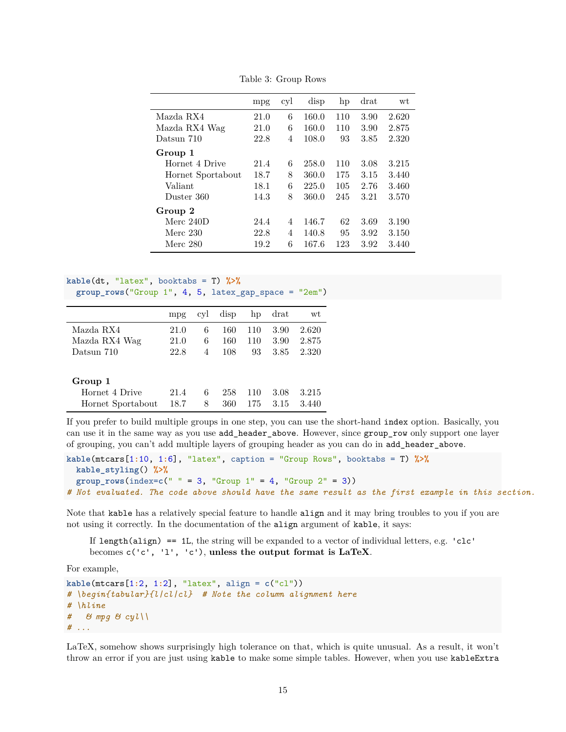| mpg  | cyl            | disp  | hp  | drat | wt    |
|------|----------------|-------|-----|------|-------|
| 21.0 | 6              | 160.0 | 110 | 3.90 | 2.620 |
| 21.0 | 6              | 160.0 | 110 | 3.90 | 2.875 |
| 22.8 | $\overline{4}$ | 108.0 | 93  | 3.85 | 2.320 |
|      |                |       |     |      |       |
| 21.4 | 6              | 258.0 | 110 | 3.08 | 3.215 |
| 18.7 | 8              | 360.0 | 175 | 3.15 | 3.440 |
| 18.1 | 6              | 225.0 | 105 | 2.76 | 3.460 |
| 14.3 | 8              | 360.0 | 245 | 3.21 | 3.570 |
|      |                |       |     |      |       |
| 24.4 | $\overline{4}$ | 146.7 | 62  | 3.69 | 3.190 |
| 22.8 | 4              | 140.8 | 95  | 3.92 | 3.150 |
| 19.2 | 6              | 167.6 | 123 | 3.92 | 3.440 |
|      |                |       |     |      |       |

Table 3: Group Rows

```
kable(dt, "latex", booktabs = T) %>%
  group_rows("Group 1", 4, 5, latex_gap_space = "2em")
```

|                   | mpg  | cyl | disp | hp  | drat | wt    |
|-------------------|------|-----|------|-----|------|-------|
| Mazda RX4         | 21.0 | 6   | 160  | 110 | 3.90 | 2.620 |
| Mazda RX4 Wag     | 21.0 | 6   | 160  | 110 | 3.90 | 2.875 |
| Datsun 710        | 22.8 | 4   | 108  | 93  | 3.85 | 2.320 |
|                   |      |     |      |     |      |       |
| Group 1           |      |     |      |     |      |       |
| Hornet 4 Drive    | 21.4 | 6   | 258  | 110 | 3.08 | 3.215 |
| Hornet Sportabout | 18.7 | 8   | 360  | 175 | 3.15 | 3.440 |

If you prefer to build multiple groups in one step, you can use the short-hand index option. Basically, you can use it in the same way as you use add\_header\_above. However, since group\_row only support one layer of grouping, you can't add multiple layers of grouping header as you can do in add\_header\_above.

```
kable(mtcars[1:10, 1:6], "latex", caption = "Group Rows", booktabs = T) %>%
 kable_styling() %>%
  group_rows(index=c(" " = 3, "Group 1" = 4, "Group 2" = 3))
# Not evaluated. The code above should have the same result as the first example in this section.
```
Note that kable has a relatively special feature to handle align and it may bring troubles to you if you are not using it correctly. In the documentation of the align argument of kable, it says:

If length(align)  $== 1$ L, the string will be expanded to a vector of individual letters, e.g. 'clc' becomes c('c', 'l', 'c'), **unless the output format is LaTeX**.

For example,

```
kable(mtcars[1:2, 1:2], "latex", align = c("cl"))
# \begin{tabular}{l|cl|cl} # Note the column alignment here
# \hline
# & mpg & cyl\\
# ...
```
LaTeX, somehow shows surprisingly high tolerance on that, which is quite unusual. As a result, it won't throw an error if you are just using kable to make some simple tables. However, when you use kableExtra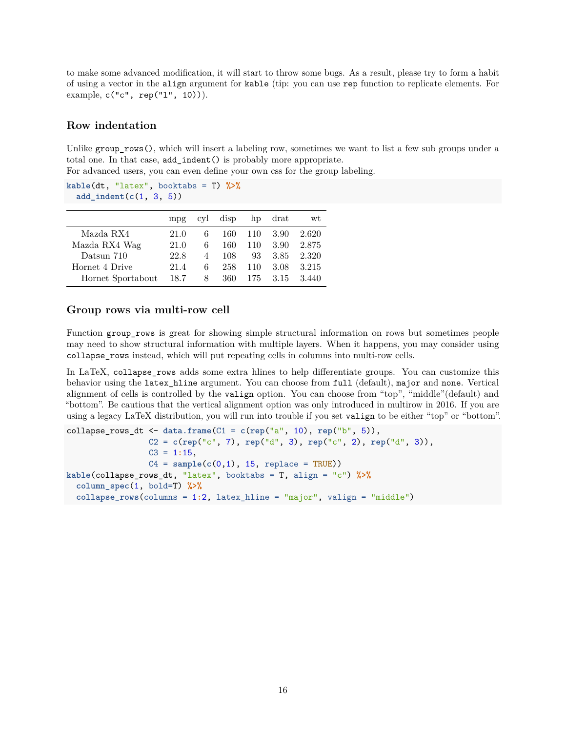to make some advanced modification, it will start to throw some bugs. As a result, please try to form a habit of using a vector in the align argument for kable (tip: you can use rep function to replicate elements. For example,  $c("c", rep("l", 10))).$ 

#### <span id="page-15-0"></span>**Row indentation**

Unlike group  $rows()$ , which will insert a labeling row, sometimes we want to list a few sub groups under a total one. In that case, add\_indent() is probably more appropriate.

For advanced users, you can even define your own css for the group labeling.

**kable**(dt, "latex", booktabs = T) **%>% add\_indent**(**c**(1, 3, 5))

|                   | mpg  | cyl | disp |     | hp drat | wt    |
|-------------------|------|-----|------|-----|---------|-------|
| Mazda RX4         | 21.0 | 6   | 160  | 110 | 3.90    | 2.620 |
| Mazda RX4 Wag     | 21.0 | 6   | 160  | 110 | 3.90    | 2.875 |
| Datsun 710        | 22.8 | 4   | 108  | 93  | 3.85    | 2.320 |
| Hornet 4 Drive    | 21.4 | 6   | 258  | 110 | 3.08    | 3.215 |
| Hornet Sportabout | 18.7 | 8   | 360  | 175 | 3.15    | 3.440 |

#### <span id="page-15-1"></span>**Group rows via multi-row cell**

Function group rows is great for showing simple structural information on rows but sometimes people may need to show structural information with multiple layers. When it happens, you may consider using collapse\_rows instead, which will put repeating cells in columns into multi-row cells.

In LaTeX, collapse\_rows adds some extra hlines to help differentiate groups. You can customize this behavior using the latex\_hline argument. You can choose from full (default), major and none. Vertical alignment of cells is controlled by the valign option. You can choose from "top", "middle"(default) and "bottom". Be cautious that the vertical alignment option was only introduced in multirow in 2016. If you are using a legacy LaTeX distribution, you will run into trouble if you set valign to be either "top" or "bottom".

```
collapse_rows_dt <- data.frame(C1 = c(rep("a", 10), rep("b", 5)),
                 C2 = c(rep("c", 7), rep("d", 3), rep("c", 2), rep("d", 3)),
                 C3 = 1:15,
                 C4 = sample(c(0,1), 15, replace = TRUE)kable(collapse_rows_dt, "latex", booktabs = T, align = "c") %>%
  column_spec(1, bold=T) %>%
  collapse_rows(columns = 1:2, latex_hline = "major", valign = "middle")
```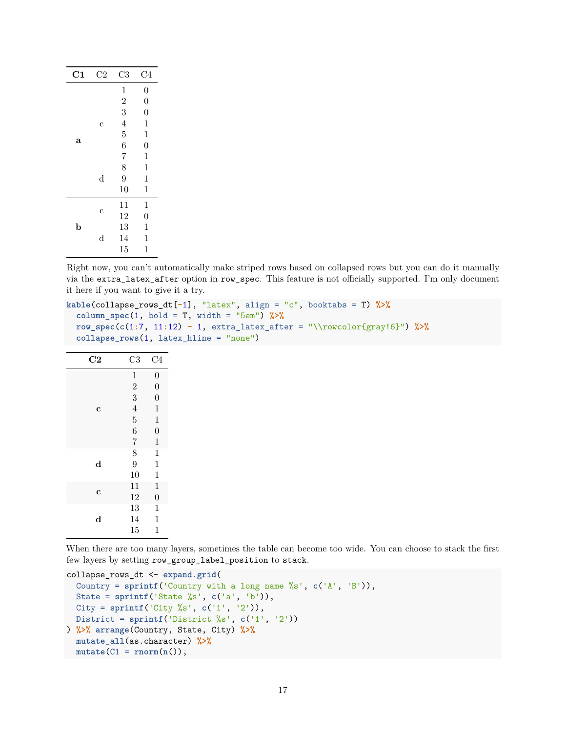| C1          | C <sub>2</sub> | C <sub>3</sub> | C <sub>4</sub>   |
|-------------|----------------|----------------|------------------|
|             |                | $\mathbf{1}$   | $\boldsymbol{0}$ |
|             |                | $\overline{2}$ | $\overline{0}$   |
|             |                | 3              | $\overline{0}$   |
|             | C              | $\overline{4}$ | $\mathbf{1}$     |
|             |                | $\overline{5}$ | $\mathbf{1}$     |
| a           |                | 6              | $\overline{0}$   |
|             |                | $\overline{7}$ | $\mathbf 1$      |
|             |                | 8              | $\mathbf{1}$     |
|             | d              | 9              | $\mathbf 1$      |
|             |                | 10             | $\mathbf{1}$     |
|             |                | 11             | $\mathbf{1}$     |
|             | C              | 12             | $\overline{0}$   |
| $\mathbf b$ |                | 13             | 1                |
|             | $_{\rm d}$     | 14             | 1                |
|             |                | 15             | 1                |

Right now, you can't automatically make striped rows based on collapsed rows but you can do it manually via the extra\_latex\_after option in row\_spec. This feature is not officially supported. I'm only document it here if you want to give it a try.

```
kable(collapse_rows_dt[-1], "latex", align = "c", booktabs = T) %>%
  column_spec(1, bold = T, width = "5em") %>%
  row_spec(c(1:7, 11:12) - 1, extra_latex_after = "\\rowcolor{gray!6}") %>%
  collapse_rows(1, latex_hline = "none")
```

| $\rm C2$    | C3             | C4               |
|-------------|----------------|------------------|
|             | $\mathbf 1$    | $\boldsymbol{0}$ |
|             | $\overline{2}$ | $\overline{0}$   |
|             | 3              | $\overline{0}$   |
| $\mathbf c$ | $\overline{4}$ | $\mathbf{1}$     |
|             | $\overline{5}$ | $\mathbf{1}$     |
|             | $\overline{6}$ | $\overline{0}$   |
|             | $\overline{7}$ | $\mathbf{1}$     |
|             | 8              | $\mathbf{1}$     |
| $\mathbf d$ | $\overline{9}$ | $\mathbf 1$      |
|             | 10             | $\mathbf{1}$     |
|             | 11             | $\mathbf{1}$     |
| $\mathbf c$ | 12             | $\overline{0}$   |
|             | 13             | $\mathbf 1$      |
| $\mathbf d$ | 14             | $\mathbf 1$      |
|             | 15             | $\mathbf{1}$     |

When there are too many layers, sometimes the table can become too wide. You can choose to stack the first few layers by setting row\_group\_label\_position to stack.

```
collapse_rows_dt <- expand.grid(
  Country = sprintf('Country with a long name %s', c('A', 'B')),
  State = sprintf('State %s', c('a', 'b')),
  City = sprintf('City %s', c('1', '2')),
  District = sprintf('District %s', c('1', '2'))
) %>% arrange(Country, State, City) %>%
  mutate_all(as.character) %>%
  mutate(C1 = rnorm(n()),
```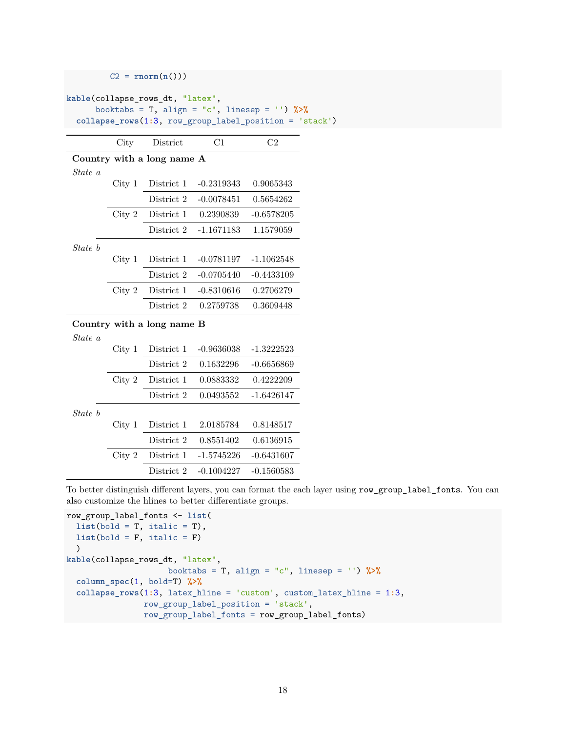|         |                   | $C2 = \text{rnorm}(n())$         |              |                                                                                                                  |
|---------|-------------------|----------------------------------|--------------|------------------------------------------------------------------------------------------------------------------|
|         |                   | kable(collapse_rows_dt, "latex", |              | booktabs = T, align = "c", linesep = '') $\frac{1}{2}$<br>collapse_rows(1:3, row_group_label_position = 'stack') |
|         | City              | District                         | C1           | C2                                                                                                               |
|         |                   | Country with a long name A       |              |                                                                                                                  |
| State a |                   |                                  |              |                                                                                                                  |
|         | City 1            | District 1                       | $-0.2319343$ | 0.9065343                                                                                                        |
|         |                   | District 2                       | $-0.0078451$ | 0.5654262                                                                                                        |
|         | City 2            | District 1                       | 0.2390839    | $-0.6578205$                                                                                                     |
|         |                   | District 2                       | $-1.1671183$ | 1.1579059                                                                                                        |
| State b |                   |                                  |              |                                                                                                                  |
|         | City 1            | District 1                       | $-0.0781197$ | $-1.1062548$                                                                                                     |
|         |                   | District 2                       | $-0.0705440$ | $-0.4433109$                                                                                                     |
|         | City 2            | District 1                       | $-0.8310616$ | 0.2706279                                                                                                        |
|         |                   | District 2                       | 0.2759738    | 0.3609448                                                                                                        |
|         |                   | Country with a long name B       |              |                                                                                                                  |
| State a |                   |                                  |              |                                                                                                                  |
|         | City 1            | District 1                       | $-0.9636038$ | $-1.3222523$                                                                                                     |
|         |                   | District 2                       | 0.1632296    | $-0.6656869$                                                                                                     |
|         | City 2            | District 1                       | 0.0883332    | 0.4222209                                                                                                        |
|         |                   | District 2                       | 0.0493552    | $-1.6426147$                                                                                                     |
| State b |                   |                                  |              |                                                                                                                  |
|         | City <sub>1</sub> | District 1                       | 2.0185784    | 0.8148517                                                                                                        |
|         |                   | District 2                       | 0.8551402    | 0.6136915                                                                                                        |
|         | City 2            | District 1                       | $-1.5745226$ | $-0.6431607$                                                                                                     |

To better distinguish different layers, you can format the each layer using row\_group\_label\_fonts. You can also customize the hlines to better differentiate groups.

```
row_group_label_fonts <- list(
 list(bold = T, italic = T),
 list(bold = F, italic = F))
kable(collapse_rows_dt, "latex",
                     booktabs = T, align = "c", linesep = '') %>%
  column_spec(1, bold=T) %>%
  collapse_rows(1:3, latex_hline = 'custom', custom_latex_hline = 1:3,
                row_group_label_position = 'stack',
                row_group_label_fonts = row_group_label_fonts)
```
District 2 -0.1004227 -0.1560583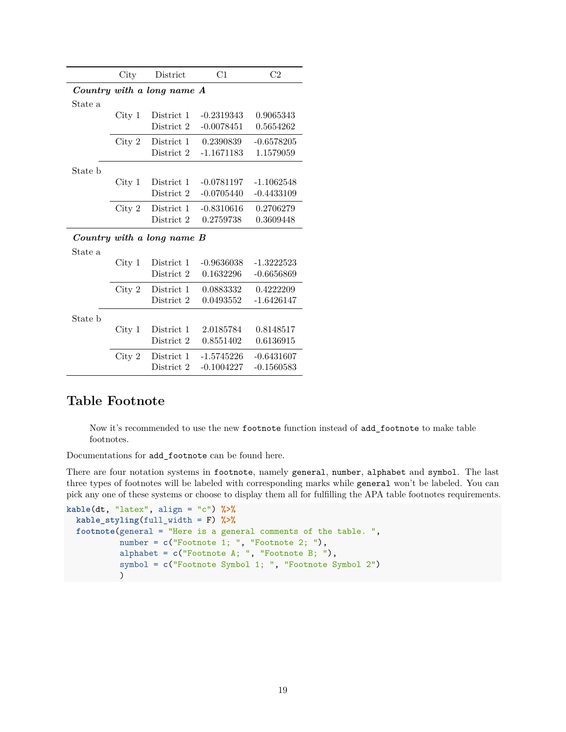|         | $\mathrm{City}$   | District                   | C1           | C <sub>2</sub> |
|---------|-------------------|----------------------------|--------------|----------------|
|         |                   | Country with a long name A |              |                |
| State a |                   |                            |              |                |
|         | City <sub>1</sub> | District 1                 | $-0.2319343$ | 0.9065343      |
|         |                   | District 2                 | $-0.0078451$ | 0.5654262      |
|         | City 2            | District 1                 | 0.2390839    | $-0.6578205$   |
|         |                   | District 2                 | $-1.1671183$ | 1.1579059      |
| State b |                   |                            |              |                |
|         | City <sub>1</sub> | District 1                 | $-0.0781197$ | $-1.1062548$   |
|         |                   | District 2                 | $-0.0705440$ | $-0.4433109$   |
|         | City 2            | District 1                 | $-0.8310616$ | 0.2706279      |
|         |                   | District 2                 | 0.2759738    | 0.3609448      |
|         |                   | Country with a long name B |              |                |
| State a |                   |                            |              |                |
|         | City <sub>1</sub> | District 1                 | $-0.9636038$ | $-1.3222523$   |
|         |                   | District 2                 | 0.1632296    | $-0.6656869$   |
|         | City 2            | District 1                 | 0.0883332    | 0.4222209      |
|         |                   | District 2                 | 0.0493552    | $-1.6426147$   |
| State b |                   |                            |              |                |
|         | City <sub>1</sub> | District 1                 | 2.0185784    | 0.8148517      |
|         |                   | District 2                 | 0.8551402    | 0.6136915      |
|         | City 2            | District 1                 | $-1.5745226$ | $-0.6431607$   |
|         |                   | District 2                 | $-0.1004227$ | $-0.1560583$   |

# <span id="page-18-0"></span>**Table Footnote**

Now it's recommended to use the new footnote function instead of add\_footnote to make table footnotes.

Documentations for add\_footnote can be found [here.](http://haozhu233.github.io/kableExtra/legacy_features#add_footnote)

There are four notation systems in footnote, namely general, number, alphabet and symbol. The last three types of footnotes will be labeled with corresponding marks while general won't be labeled. You can pick any one of these systems or choose to display them all for fulfilling the APA table footnotes requirements.

```
kable(dt, "latex", align = "c") %>%
  kable_styling(full_width = F) %>%
  footnote(general = "Here is a general comments of the table. ",
           number = c("Footnote 1; ", "Footnote 2; "),
           alphabet = c("Footnote A; ", "Footnote B; "),
           symbol = c("Footnote Symbol 1; ", "Footnote Symbol 2")
           )
```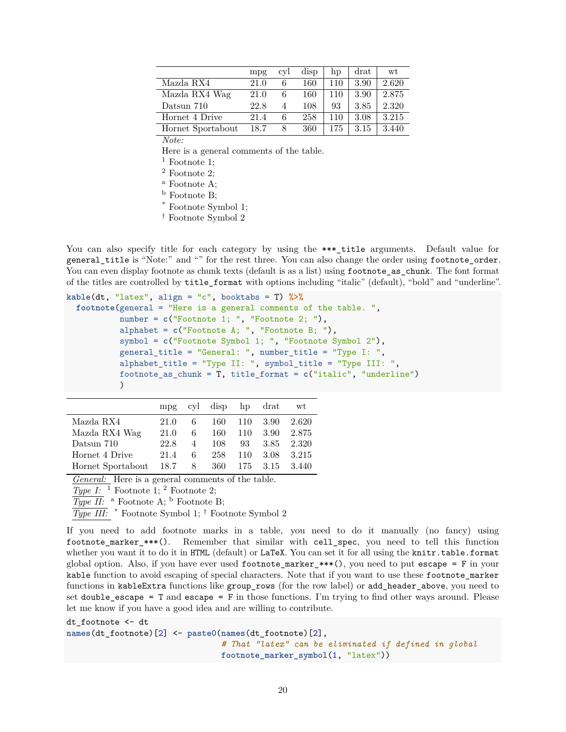|                   | mpg  | cyl | disp | hp  | drat | wt    |
|-------------------|------|-----|------|-----|------|-------|
| Mazda RX4         | 21.0 | 6   | 160  | 110 | 3.90 | 2.620 |
| Mazda RX4 Wag     | 21.0 | 6   | 160  | 110 | 3.90 | 2.875 |
| Datsun 710        | 22.8 | 4   | 108  | 93  | 3.85 | 2.320 |
| Hornet 4 Drive    | 21.4 | 6   | 258  | 110 | 3.08 | 3.215 |
| Hornet Sportabout | 18.7 | 8   | 360  | 175 | 3.15 | 3.440 |

*Note:*

Here is a general comments of the table.

 $<sup>1</sup>$  Footnote 1;</sup>

<sup>2</sup> Footnote 2;

<sup>a</sup> Footnote A;

<sup>b</sup> Footnote B;

\* Footnote Symbol 1;

† Footnote Symbol 2

You can also specify title for each category by using the \*\*\*\_title arguments. Default value for general\_title is "Note:" and "" for the rest three. You can also change the order using footnote\_order. You can even display footnote as chunk texts (default is as a list) using footnote as chunk. The font format of the titles are controlled by title\_format with options including "italic" (default), "bold" and "underline".

```
kable(dt, "latex", align = "c", booktabs = T) %>%
  footnote(general = "Here is a general comments of the table. ",
           number = c("Footnote 1; ", "Footnote 2; "),
           alphabet = c("Footnote A; ", "Footnote B; "),
           symbol = c("Footnote Symbol 1; ", "Footnote Symbol 2"),
           general_title = "General: ", number_title = "Type I: ",
           alphabet title = "Type II: ", symbol title = "Type III: ",
           footnote_as_chunk = T, title_format = c("italic", "underline")
           )
```

|                   | mpg  |   | cyl disp hp drat |     |        | wt    |
|-------------------|------|---|------------------|-----|--------|-------|
| Mazda RX4         | 21.0 | 6 | 160              | 110 | - 3.90 | 2.620 |
| Mazda RX4 Wag     | 21.0 | 6 | 160              | 110 | 3.90   | 2.875 |
| Datsun 710        | 22.8 | 4 | 108              | 93. | 3.85   | 2.320 |
| Hornet 4 Drive    | 21.4 | 6 | 258              | 110 | 3.08   | 3.215 |
| Hornet Sportabout | 18.7 | 8 | 360              | 175 | 3.15   | 3.440 |

*General:* Here is a general comments of the table.

*Type I:* <sup>1</sup> Footnote 1; <sup>2</sup> Footnote 2;

 $\overline{Type II:}$  a Footnote A; <sup>b</sup> Footnote B;

*Type III:* \* Footnote Symbol 1; † Footnote Symbol 2

If you need to add footnote marks in a table, you need to do it manually (no fancy) using footnote\_marker\_\*\*\*(). Remember that similar with cell\_spec, you need to tell this function whether you want it to do it in HTML (default) or LaTeX. You can set it for all using the knitr.table.format global option. Also, if you have ever used  $footnote\_marker.**()$ , you need to put escape = F in your kable function to avoid escaping of special characters. Note that if you want to use these footnote\_marker functions in kableExtra functions like group\_rows (for the row label) or add\_header\_above, you need to set double\_escape =  $T$  and escape =  $F$  in those functions. I'm trying to find other ways around. Please let me know if you have a good idea and are willing to contribute.

dt\_footnote <- dt

**names**(dt\_footnote)[2] <- **paste0**(**names**(dt\_footnote)[2],

*# That "latex" can be eliminated if defined in global* **footnote\_marker\_symbol**(1, "latex"))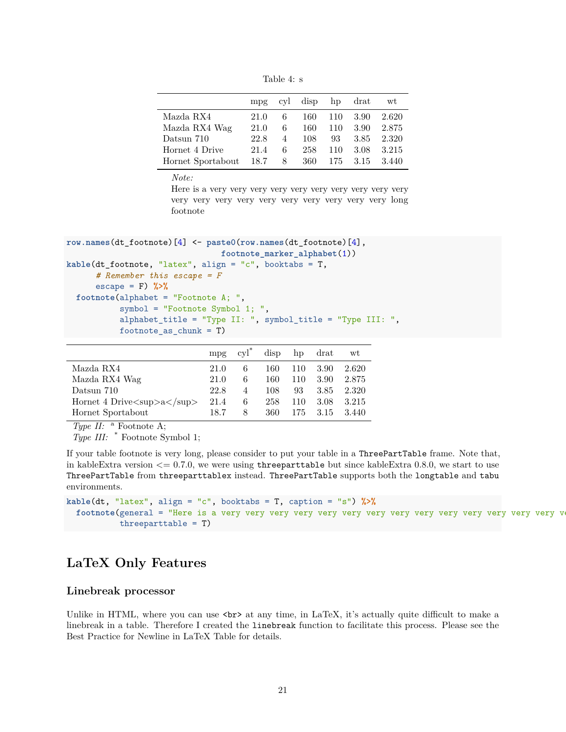Table 4: s

|                   | mpg  |                | cyl disp hp drat |     |      | wt    |
|-------------------|------|----------------|------------------|-----|------|-------|
| Mazda RX4         | 21.0 | 6              | 160              | 110 | 3.90 | 2.620 |
| Mazda RX4 Wag     | 21.0 | 6              | 160              | 110 | 3.90 | 2.875 |
| Datsun 710        | 22.8 | $\overline{4}$ | 108              | 93  | 3.85 | 2.320 |
| Hornet 4 Drive    | 21.4 | 6              | 258              | 110 | 3.08 | 3.215 |
| Hornet Sportabout | 18.7 | 8              | 360              | 175 | 3.15 | 3.440 |

*Note:*

Here is a very very very very very very very very very very very very very very very very very very very very long footnote

```
row.names(dt_footnote)[4] <- paste0(row.names(dt_footnote)[4],
                                footnote_marker_alphabet(1))
kable(dt_footnote, "latex", align = "c", booktabs = T,
      # Remember this escape = F
      escape = F) %>%
  footnote(alphabet = "Footnote A; ",
           symbol = "Footnote Symbol 1; ",
           alphabet_title = "Type II: ", symbol_title = "Type III: ",
           footnote_as_chunk = T)
```

|                                                                          | mp <sub>g</sub> | $\mathrm{cyl}^*$ | disp | hp  | drat | wt    |
|--------------------------------------------------------------------------|-----------------|------------------|------|-----|------|-------|
| Mazda RX4                                                                | 21.0            |                  | 160  | 110 | 3.90 | 2.620 |
| Mazda RX4 Wag                                                            | 21.0            | 6                | 160  | 110 | 3.90 | 2.875 |
| Datsun 710                                                               | 22.8            | $\overline{4}$   | 108  | 93  | 3.85 | 2.320 |
| Hornet 4 Drive $\langle \text{sup}\rangle$ a $\langle \text{sup}\rangle$ | 21.4            | 6                | 258  | 110 | 3.08 | 3.215 |
| Hornet Sportabout                                                        | 18.7            | 8                | 360  | 175 | 3.15 | 3.440 |

*Type II:* <sup>a</sup> Footnote A;

*Type III:* \* Footnote Symbol 1;

If your table footnote is very long, please consider to put your table in a ThreePartTable frame. Note that, in kableExtra version  $\leq$  0.7.0, we were using threeparttable but since kableExtra 0.8.0, we start to use ThreePartTable from threeparttablex instead. ThreePartTable supports both the longtable and tabu environments.

```
kable(dt, "latex", align = "c", booktabs = T, caption = "s") %>%
  footnote(general = "Here is a very very very very very very very very very very very very very very very
           threeparttable = T)
```
# <span id="page-20-0"></span>**LaTeX Only Features**

### <span id="page-20-1"></span>**Linebreak processor**

Unlike in HTML, where you can use  $\text{str} >$  at any time, in LaTeX, it's actually quite difficult to make a linebreak in a table. Therefore I created the linebreak function to facilitate this process. Please see the [Best Practice for Newline in LaTeX Table](http://haozhu233.github.io/kableExtra/best_practice_for_newline_in_latex_table.pdf) for details.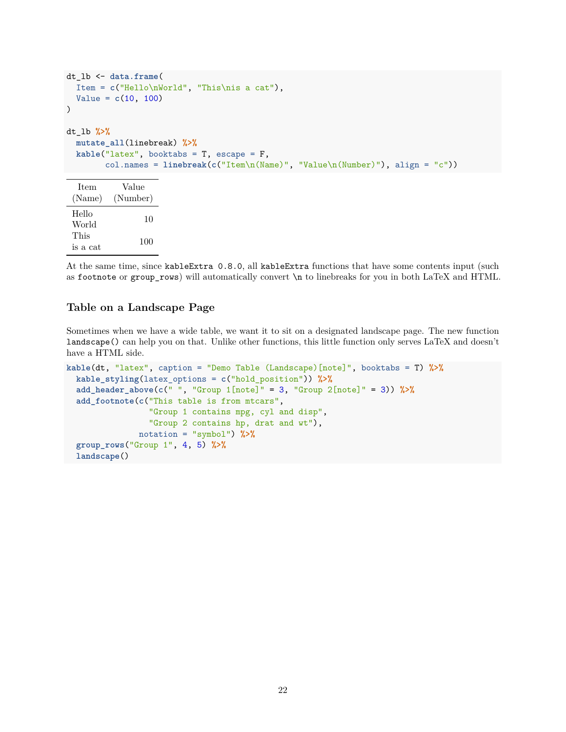```
dt_lb <- data.frame(
  Item = c("Hello\nWorld", "This\nis a cat"),
  Value = c(10, 100)
\lambdadt_lb %>%
  mutate_all(linebreak) %>%
  kable("latex", booktabs = T, escape = F,
        col.names = linebreak(c("Item\n(Name)", "Value\n(Number)"), align = "c"))
  Item
 (Name)
            Value
          (Number)
 Hello
 World 10
 This
 \frac{1 \text{ ms}}{\text{is a cat}} 100
```
At the same time, since kableExtra 0.8.0, all kableExtra functions that have some contents input (such as footnote or group\_rows) will automatically convert \n to linebreaks for you in both LaTeX and HTML.

## <span id="page-21-0"></span>**Table on a Landscape Page**

Sometimes when we have a wide table, we want it to sit on a designated landscape page. The new function landscape() can help you on that. Unlike other functions, this little function only serves LaTeX and doesn't have a HTML side.

```
kable(dt, "latex", caption = "Demo Table (Landscape)[note]", booktabs = T) %>%
 kable_styling(latex_options = c("hold_position")) %>%
  add_header_above(c(" ", "Group 1[note]" = 3, "Group 2[note]" = 3)) %>%
  add_footnote(c("This table is from mtcars",
                 "Group 1 contains mpg, cyl and disp",
                 "Group 2 contains hp, drat and wt"),
              notation = "symbol") %>%
  group_rows("Group 1", 4, 5) %>%
  landscape()
```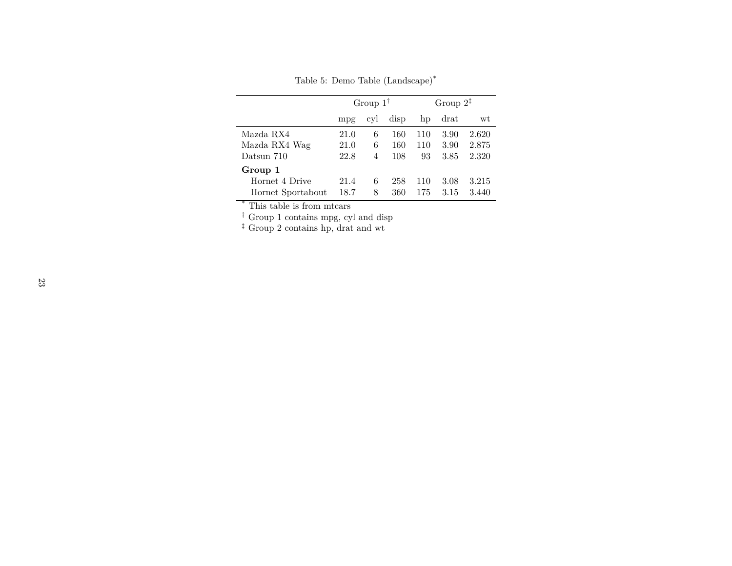Table 5: Demo Table (Landscape)\*

|                   | Group $1^{\dagger}$ |     |      | Group $2^{\ddagger}$ |      |       |
|-------------------|---------------------|-----|------|----------------------|------|-------|
|                   | mpg                 | cyl | disp | hp                   | drat | wt    |
| Mazda RX4         | 21.0                | 6   | 160  | 110                  | 3.90 | 2.620 |
| Mazda RX4 Wag     | 21.0                | 6   | 160  | 110                  | 3.90 | 2.875 |
| Datsun 710        | 22.8                | 4   | 108  | 93                   | 3.85 | 2.320 |
| Group 1           |                     |     |      |                      |      |       |
| Hornet 4 Drive    | 21.4                | 6   | 258  | 110                  | 3.08 | 3.215 |
| Hornet Sportabout | 18.7                | 8   | 360  | 175                  | 3.15 | 3.440 |

\* This table is from mtcars

† Group 1 contains mpg, cyl and disp

‡ Group 2 contains hp, drat and wt